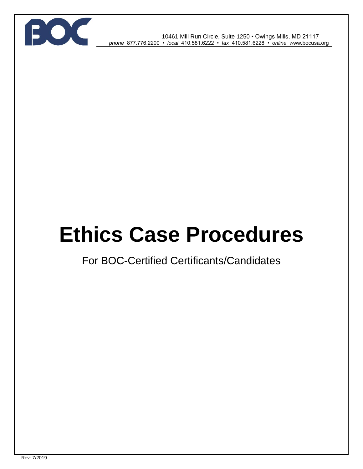

 10461 Mill Run Circle, Suite 1250 • Owings Mills, MD 21117 *phone* 877.776.2200 • *local* 410.581.6222 • *fax* 410.581.6228 • *online w*ww*.*bocusa.org

# **Ethics Case Procedures**

## For BOC-Certified Certificants/Candidates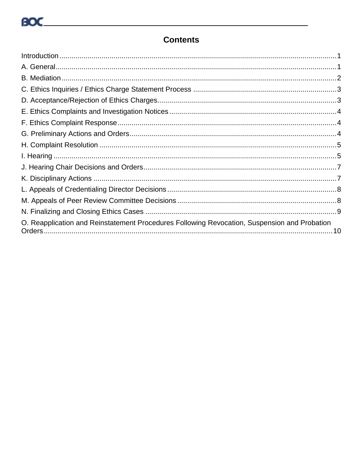### **Contents**

| O. Reapplication and Reinstatement Procedures Following Revocation, Suspension and Probation |
|----------------------------------------------------------------------------------------------|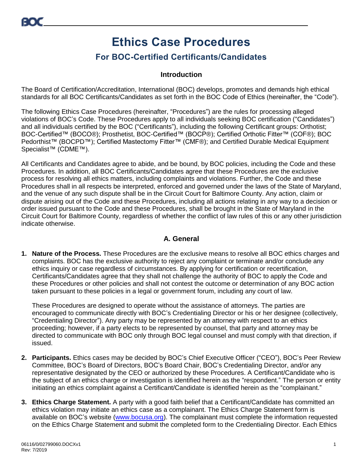# **Ethics Case Procedures**

## **For BOC-Certified Certificants/Candidates**

#### **Introduction**

<span id="page-2-0"></span>The Board of Certification/Accreditation, International (BOC) develops, promotes and demands high ethical standards for all BOC Certificants/Candidates as set forth in the BOC Code of Ethics (hereinafter, the "Code").

The following Ethics Case Procedures (hereinafter, "Procedures") are the rules for processing alleged violations of BOC's Code. These Procedures apply to all individuals seeking BOC certification ("Candidates") and all individuals certified by the BOC ("Certificants"), including the following Certificant groups: Orthotist; BOC-Certified™ (BOCO®); Prosthetist, BOC-Certified™ (BOCP®); Certified Orthotic Fitter™ (COF®); BOC Pedorthist™ (BOCPD™); Certified Mastectomy Fitter™ (CMF®); and Certified Durable Medical Equipment Specialist™ (CDME™).

All Certificants and Candidates agree to abide, and be bound, by BOC policies, including the Code and these Procedures. In addition, all BOC Certificants/Candidates agree that these Procedures are the exclusive process for resolving all ethics matters, including complaints and violations. Further, the Code and these Procedures shall in all respects be interpreted, enforced and governed under the laws of the State of Maryland, and the venue of any such dispute shall be in the Circuit Court for Baltimore County. Any action, claim or dispute arising out of the Code and these Procedures, including all actions relating in any way to a decision or order issued pursuant to the Code and these Procedures, shall be brought in the State of Maryland in the Circuit Court for Baltimore County, regardless of whether the conflict of law rules of this or any other jurisdiction indicate otherwise.

#### **A. General**

<span id="page-2-1"></span>**1. Nature of the Process.** These Procedures are the exclusive means to resolve all BOC ethics charges and complaints. BOC has the exclusive authority to reject any complaint or terminate and/or conclude any ethics inquiry or case regardless of circumstances. By applying for certification or recertification, Certificants/Candidates agree that they shall not challenge the authority of BOC to apply the Code and these Procedures or other policies and shall not contest the outcome or determination of any BOC action taken pursuant to these policies in a legal or government forum, including any court of law.

These Procedures are designed to operate without the assistance of attorneys. The parties are encouraged to communicate directly with BOC's Credentialing Director or his or her designee (collectively, "Credentialing Director"). Any party may be represented by an attorney with respect to an ethics proceeding; however, if a party elects to be represented by counsel, that party and attorney may be directed to communicate with BOC only through BOC legal counsel and must comply with that direction, if issued.

- **2. Participants.** Ethics cases may be decided by BOC's Chief Executive Officer ("CEO"), BOC's Peer Review Committee, BOC's Board of Directors, BOC's Board Chair, BOC's Credentialing Director, and/or any representative designated by the CEO or authorized by these Procedures. A Certificant/Candidate who is the subject of an ethics charge or investigation is identified herein as the "respondent." The person or entity initiating an ethics complaint against a Certificant/Candidate is identified herein as the "complainant."
- **3. Ethics Charge Statement.** A party with a good faith belief that a Certificant/Candidate has committed an ethics violation may initiate an ethics case as a complainant. The Ethics Charge Statement form is available on BOC's website [\(www.bocusa.org\)](http://www.bocusa.org/). The complainant must complete the information requested on the Ethics Charge Statement and submit the completed form to the Credentialing Director. Each Ethics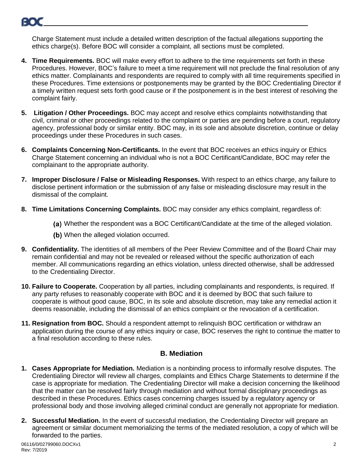

Charge Statement must include a detailed written description of the factual allegations supporting the ethics charge(s). Before BOC will consider a complaint, all sections must be completed.

- **4. Time Requirements.** BOC will make every effort to adhere to the time requirements set forth in these Procedures. However, BOC's failure to meet a time requirement will not preclude the final resolution of any ethics matter. Complainants and respondents are required to comply with all time requirements specified in these Procedures. Time extensions or postponements may be granted by the BOC Credentialing Director if a timely written request sets forth good cause or if the postponement is in the best interest of resolving the complaint fairly.
- **5. Litigation / Other Proceedings.** BOC may accept and resolve ethics complaints notwithstanding that civil, criminal or other proceedings related to the complaint or parties are pending before a court, regulatory agency, professional body or similar entity. BOC may, in its sole and absolute discretion, continue or delay proceedings under these Procedures in such cases.
- **6. Complaints Concerning Non-Certificants.** In the event that BOC receives an ethics inquiry or Ethics Charge Statement concerning an individual who is not a BOC Certificant/Candidate, BOC may refer the complainant to the appropriate authority.
- **7. Improper Disclosure / False or Misleading Responses.** With respect to an ethics charge, any failure to disclose pertinent information or the submission of any false or misleading disclosure may result in the dismissal of the complaint.
- **8. Time Limitations Concerning Complaints.** BOC may consider any ethics complaint, regardless of:
	- Whether the respondent was a BOC Certificant/Candidate at the time of the alleged violation.
	- (b) When the alleged violation occurred.
- **9. Confidentiality.** The identities of all members of the Peer Review Committee and of the Board Chair may remain confidential and may not be revealed or released without the specific authorization of each member. All communications regarding an ethics violation, unless directed otherwise, shall be addressed to the Credentialing Director.
- **10. Failure to Cooperate.** Cooperation by all parties, including complainants and respondents, is required. If any party refuses to reasonably cooperate with BOC and it is deemed by BOC that such failure to cooperate is without good cause, BOC, in its sole and absolute discretion, may take any remedial action it deems reasonable, including the dismissal of an ethics complaint or the revocation of a certification.
- **11. Resignation from BOC.** Should a respondent attempt to relinquish BOC certification or withdraw an application during the course of any ethics inquiry or case, BOC reserves the right to continue the matter to a final resolution according to these rules.

#### **B. Mediation**

- <span id="page-3-0"></span>**1. Cases Appropriate for Mediation.** Mediation is a nonbinding process to informally resolve disputes. The Credentialing Director will review all charges, complaints and Ethics Charge Statements to determine if the case is appropriate for mediation. The Credentialing Director will make a decision concerning the likelihood that the matter can be resolved fairly through mediation and without formal disciplinary proceedings as described in these Procedures. Ethics cases concerning charges issued by a regulatory agency or professional body and those involving alleged criminal conduct are generally not appropriate for mediation.
- **2. Successful Mediation.** In the event of successful mediation, the Credentialing Director will prepare an agreement or similar document memorializing the terms of the mediated resolution, a copy of which will be forwarded to the parties.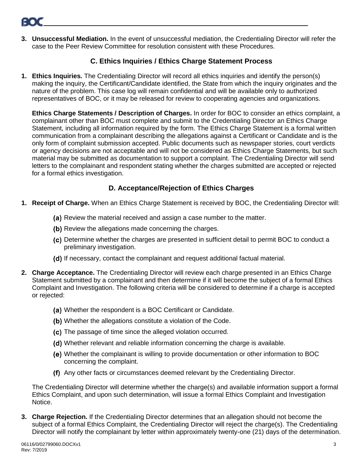

**3. Unsuccessful Mediation.** In the event of unsuccessful mediation, the Credentialing Director will refer the case to the Peer Review Committee for resolution consistent with these Procedures.

#### **C. Ethics Inquiries / Ethics Charge Statement Process**

<span id="page-4-0"></span>**1. Ethics Inquiries.** The Credentialing Director will record all ethics inquiries and identify the person(s) making the inquiry, the Certificant/Candidate identified, the State from which the inquiry originates and the nature of the problem. This case log will remain confidential and will be available only to authorized representatives of BOC, or it may be released for review to cooperating agencies and organizations.

**Ethics Charge Statements / Description of Charges.** In order for BOC to consider an ethics complaint, a complainant other than BOC must complete and submit to the Credentialing Director an Ethics Charge Statement, including all information required by the form. The Ethics Charge Statement is a formal written communication from a complainant describing the allegations against a Certificant or Candidate and is the only form of complaint submission accepted. Public documents such as newspaper stories, court verdicts or agency decisions are not acceptable and will not be considered as Ethics Charge Statements, but such material may be submitted as documentation to support a complaint. The Credentialing Director will send letters to the complainant and respondent stating whether the charges submitted are accepted or rejected for a formal ethics investigation.

#### **D. Acceptance/Rejection of Ethics Charges**

- <span id="page-4-1"></span>**1. Receipt of Charge.** When an Ethics Charge Statement is received by BOC, the Credentialing Director will:
	- (a) Review the material received and assign a case number to the matter.
	- (b) Review the allegations made concerning the charges.
	- Determine whether the charges are presented in sufficient detail to permit BOC to conduct a preliminary investigation.
	- (d) If necessary, contact the complainant and request additional factual material.
- **2. Charge Acceptance.** The Credentialing Director will review each charge presented in an Ethics Charge Statement submitted by a complainant and then determine if it will become the subject of a formal Ethics Complaint and Investigation. The following criteria will be considered to determine if a charge is accepted or rejected:
	- (a) Whether the respondent is a BOC Certificant or Candidate.
	- (b) Whether the allegations constitute a violation of the Code.
	- (c) The passage of time since the alleged violation occurred.
	- Whether relevant and reliable information concerning the charge is available.
	- Whether the complainant is willing to provide documentation or other information to BOC concerning the complaint.
	- Any other facts or circumstances deemed relevant by the Credentialing Director.

The Credentialing Director will determine whether the charge(s) and available information support a formal Ethics Complaint, and upon such determination, will issue a formal Ethics Complaint and Investigation Notice.

**3. Charge Rejection.** If the Credentialing Director determines that an allegation should not become the subject of a formal Ethics Complaint, the Credentialing Director will reject the charge(s). The Credentialing Director will notify the complainant by letter within approximately twenty-one (21) days of the determination.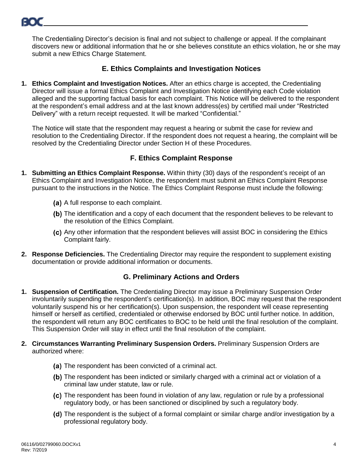The Credentialing Director's decision is final and not subject to challenge or appeal. If the complainant discovers new or additional information that he or she believes constitute an ethics violation, he or she may submit a new Ethics Charge Statement.

#### **E. Ethics Complaints and Investigation Notices**

<span id="page-5-0"></span>**1. Ethics Complaint and Investigation Notices.** After an ethics charge is accepted, the Credentialing Director will issue a formal Ethics Complaint and Investigation Notice identifying each Code violation alleged and the supporting factual basis for each complaint. This Notice will be delivered to the respondent at the respondent's email address and at the last known address(es) by certified mail under "Restricted Delivery" with a return receipt requested. It will be marked "Confidential."

The Notice will state that the respondent may request a hearing or submit the case for review and resolution to the Credentialing Director. If the respondent does not request a hearing, the complaint will be resolved by the Credentialing Director under Section H of these Procedures.

#### **F. Ethics Complaint Response**

- <span id="page-5-1"></span>**1. Submitting an Ethics Complaint Response.** Within thirty (30) days of the respondent's receipt of an Ethics Complaint and Investigation Notice, the respondent must submit an Ethics Complaint Response pursuant to the instructions in the Notice. The Ethics Complaint Response must include the following:
	- (a) A full response to each complaint.
	- (b) The identification and a copy of each document that the respondent believes to be relevant to the resolution of the Ethics Complaint.
	- (c) Any other information that the respondent believes will assist BOC in considering the Ethics Complaint fairly.
- **2. Response Deficiencies.** The Credentialing Director may require the respondent to supplement existing documentation or provide additional information or documents.

#### **G. Preliminary Actions and Orders**

- <span id="page-5-2"></span>**1. Suspension of Certification.** The Credentialing Director may issue a Preliminary Suspension Order involuntarily suspending the respondent's certification(s). In addition, BOC may request that the respondent voluntarily suspend his or her certification(s). Upon suspension, the respondent will cease representing himself or herself as certified, credentialed or otherwise endorsed by BOC until further notice. In addition, the respondent will return any BOC certificates to BOC to be held until the final resolution of the complaint. This Suspension Order will stay in effect until the final resolution of the complaint.
- **2. Circumstances Warranting Preliminary Suspension Orders.** Preliminary Suspension Orders are authorized where:
	- (a) The respondent has been convicted of a criminal act.
	- (b) The respondent has been indicted or similarly charged with a criminal act or violation of a criminal law under statute, law or rule.
	- The respondent has been found in violation of any law, regulation or rule by a professional regulatory body, or has been sanctioned or disciplined by such a regulatory body.
	- (d) The respondent is the subject of a formal complaint or similar charge and/or investigation by a professional regulatory body.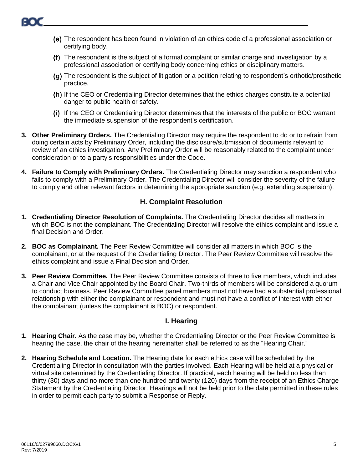- The respondent has been found in violation of an ethics code of a professional association or certifying body.
- (f) The respondent is the subject of a formal complaint or similar charge and investigation by a professional association or certifying body concerning ethics or disciplinary matters.
- The respondent is the subject of litigation or a petition relating to respondent's orthotic/prosthetic practice.
- (h) If the CEO or Credentialing Director determines that the ethics charges constitute a potential danger to public health or safety.
- If the CEO or Credentialing Director determines that the interests of the public or BOC warrant the immediate suspension of the respondent's certification.
- **3. Other Preliminary Orders.** The Credentialing Director may require the respondent to do or to refrain from doing certain acts by Preliminary Order, including the disclosure/submission of documents relevant to review of an ethics investigation. Any Preliminary Order will be reasonably related to the complaint under consideration or to a party's responsibilities under the Code.
- **4. Failure to Comply with Preliminary Orders.** The Credentialing Director may sanction a respondent who fails to comply with a Preliminary Order. The Credentialing Director will consider the severity of the failure to comply and other relevant factors in determining the appropriate sanction (e.g. extending suspension).

#### **H. Complaint Resolution**

- <span id="page-6-0"></span>**1. Credentialing Director Resolution of Complaints.** The Credentialing Director decides all matters in which BOC is not the complainant. The Credentialing Director will resolve the ethics complaint and issue a final Decision and Order.
- **2. BOC as Complainant.** The Peer Review Committee will consider all matters in which BOC is the complainant, or at the request of the Credentialing Director. The Peer Review Committee will resolve the ethics complaint and issue a Final Decision and Order.
- **3. Peer Review Committee.** The Peer Review Committee consists of three to five members, which includes a Chair and Vice Chair appointed by the Board Chair. Two-thirds of members will be considered a quorum to conduct business. Peer Review Committee panel members must not have had a substantial professional relationship with either the complainant or respondent and must not have a conflict of interest with either the complainant (unless the complainant is BOC) or respondent.

#### **I. Hearing**

- <span id="page-6-1"></span>**1. Hearing Chair.** As the case may be, whether the Credentialing Director or the Peer Review Committee is hearing the case, the chair of the hearing hereinafter shall be referred to as the "Hearing Chair."
- **2. Hearing Schedule and Location.** The Hearing date for each ethics case will be scheduled by the Credentialing Director in consultation with the parties involved. Each Hearing will be held at a physical or virtual site determined by the Credentialing Director. If practical, each hearing will be held no less than thirty (30) days and no more than one hundred and twenty (120) days from the receipt of an Ethics Charge Statement by the Credentialing Director. Hearings will not be held prior to the date permitted in these rules in order to permit each party to submit a Response or Reply.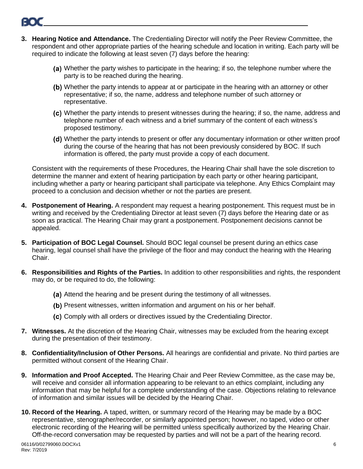- **3. Hearing Notice and Attendance.** The Credentialing Director will notify the Peer Review Committee, the respondent and other appropriate parties of the hearing schedule and location in writing. Each party will be required to indicate the following at least seven (7) days before the hearing:
	- (a) Whether the party wishes to participate in the hearing; if so, the telephone number where the party is to be reached during the hearing.
	- (b) Whether the party intends to appear at or participate in the hearing with an attorney or other representative; if so, the name, address and telephone number of such attorney or representative.
	- Whether the party intends to present witnesses during the hearing; if so, the name, address and telephone number of each witness and a brief summary of the content of each witness's proposed testimony.
	- Whether the party intends to present or offer any documentary information or other written proof during the course of the hearing that has not been previously considered by BOC. If such information is offered, the party must provide a copy of each document.

Consistent with the requirements of these Procedures, the Hearing Chair shall have the sole discretion to determine the manner and extent of hearing participation by each party or other hearing participant, including whether a party or hearing participant shall participate via telephone. Any Ethics Complaint may proceed to a conclusion and decision whether or not the parties are present.

- **4. Postponement of Hearing.** A respondent may request a hearing postponement. This request must be in writing and received by the Credentialing Director at least seven (7) days before the Hearing date or as soon as practical. The Hearing Chair may grant a postponement. Postponement decisions cannot be appealed.
- **5. Participation of BOC Legal Counsel.** Should BOC legal counsel be present during an ethics case hearing, legal counsel shall have the privilege of the floor and may conduct the hearing with the Hearing Chair.
- **6. Responsibilities and Rights of the Parties.** In addition to other responsibilities and rights, the respondent may do, or be required to do, the following:
	- (a) Attend the hearing and be present during the testimony of all witnesses.
	- (b) Present witnesses, written information and argument on his or her behalf.
	- (c) Comply with all orders or directives issued by the Credentialing Director.
- **7. Witnesses.** At the discretion of the Hearing Chair, witnesses may be excluded from the hearing except during the presentation of their testimony.
- **8. Confidentiality/Inclusion of Other Persons.** All hearings are confidential and private. No third parties are permitted without consent of the Hearing Chair.
- **9. Information and Proof Accepted.** The Hearing Chair and Peer Review Committee, as the case may be, will receive and consider all information appearing to be relevant to an ethics complaint, including any information that may be helpful for a complete understanding of the case. Objections relating to relevance of information and similar issues will be decided by the Hearing Chair.
- **10. Record of the Hearing.** A taped, written, or summary record of the Hearing may be made by a BOC representative, stenographer/recorder, or similarly appointed person; however, no taped, video or other electronic recording of the Hearing will be permitted unless specifically authorized by the Hearing Chair. Off-the-record conversation may be requested by parties and will not be a part of the hearing record.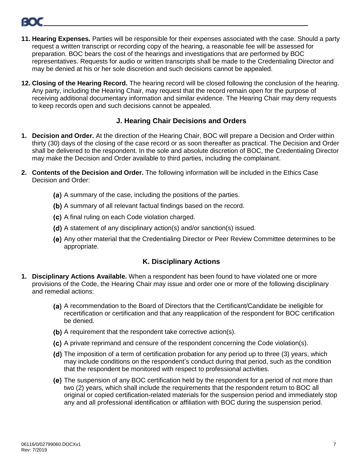

- **11. Hearing Expenses.** Parties will be responsible for their expenses associated with the case. Should a party request a written transcript or recording copy of the hearing, a reasonable fee will be assessed for preparation. BOC bears the cost of the hearings and investigations that are performed by BOC representatives. Requests for audio or written transcripts shall be made to the Credentialing Director and may be denied at his or her sole discretion and such decisions cannot be appealed.
- **12. Closing of the Hearing Record.** The hearing record will be closed following the conclusion of the hearing. Any party, including the Hearing Chair, may request that the record remain open for the purpose of receiving additional documentary information and similar evidence. The Hearing Chair may deny requests to keep records open and such decisions cannot be appealed.

#### **J. Hearing Chair Decisions and Orders**

- <span id="page-8-0"></span>**1. Decision and Order.** At the direction of the Hearing Chair, BOC will prepare a Decision and Order within thirty (30) days of the closing of the case record or as soon thereafter as practical. The Decision and Order shall be delivered to the respondent. In the sole and absolute discretion of BOC, the Credentialing Director may make the Decision and Order available to third parties, including the complainant.
- **2. Contents of the Decision and Order.** The following information will be included in the Ethics Case Decision and Order:
	- (a) A summary of the case, including the positions of the parties.
	- (b) A summary of all relevant factual findings based on the record.
	- (c) A final ruling on each Code violation charged.
	- (d) A statement of any disciplinary action(s) and/or sanction(s) issued.
	- Any other material that the Credentialing Director or Peer Review Committee determines to be appropriate.

#### **K. Disciplinary Actions**

- <span id="page-8-1"></span>**1. Disciplinary Actions Available.** When a respondent has been found to have violated one or more provisions of the Code, the Hearing Chair may issue and order one or more of the following disciplinary and remedial actions:
	- (a) A recommendation to the Board of Directors that the Certificant/Candidate be ineligible for recertification or certification and that any reapplication of the respondent for BOC certification be denied.
	- (b) A requirement that the respondent take corrective action(s).
	- (c) A private reprimand and censure of the respondent concerning the Code violation(s).
	- (d) The imposition of a term of certification probation for any period up to three (3) years, which may include conditions on the respondent's conduct during that period, such as the condition that the respondent be monitored with respect to professional activities.
	- The suspension of any BOC certification held by the respondent for a period of not more than two (2) years, which shall include the requirements that the respondent return to BOC all original or copied certification-related materials for the suspension period and immediately stop any and all professional identification or affiliation with BOC during the suspension period.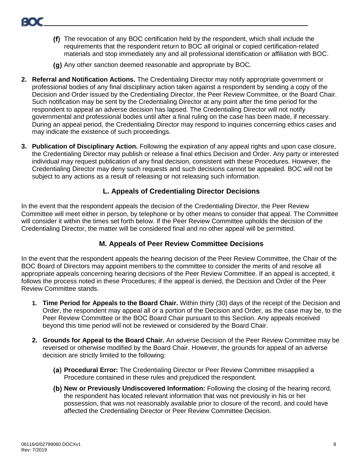- The revocation of any BOC certification held by the respondent, which shall include the requirements that the respondent return to BOC all original or copied certification-related materials and stop immediately any and all professional identification or affiliation with BOC.
- (g) Any other sanction deemed reasonable and appropriate by BOC.
- **2. Referral and Notification Actions.** The Credentialing Director may notify appropriate government or professional bodies of any final disciplinary action taken against a respondent by sending a copy of the Decision and Order issued by the Credentialing Director, the Peer Review Committee, or the Board Chair. Such notification may be sent by the Credentialing Director at any point after the time period for the respondent to appeal an adverse decision has lapsed. The Credentialing Director will not notify governmental and professional bodies until after a final ruling on the case has been made, if necessary. During an appeal period, the Credentialing Director may respond to inquiries concerning ethics cases and may indicate the existence of such proceedings.
- **3. Publication of Disciplinary Action.** Following the expiration of any appeal rights and upon case closure, the Credentialing Director may publish or release a final ethics Decision and Order. Any party or interested individual may request publication of any final decision, consistent with these Procedures. However, the Credentialing Director may deny such requests and such decisions cannot be appealed. BOC will not be subject to any actions as a result of releasing or not releasing such information.

#### **L. Appeals of Credentialing Director Decisions**

<span id="page-9-0"></span>In the event that the respondent appeals the decision of the Credentialing Director, the Peer Review Committee will meet either in person, by telephone or by other means to consider that appeal. The Committee will consider it within the times set forth below. If the Peer Review Committee upholds the decision of the Credentialing Director, the matter will be considered final and no other appeal will be permitted.

#### **M. Appeals of Peer Review Committee Decisions**

<span id="page-9-1"></span>In the event that the respondent appeals the hearing decision of the Peer Review Committee, the Chair of the BOC Board of Directors may appoint members to the committee to consider the merits of and resolve all appropriate appeals concerning hearing decisions of the Peer Review Committee. If an appeal is accepted, it follows the process noted in these Procedures; if the appeal is denied, the Decision and Order of the Peer Review Committee stands.

- **1. Time Period for Appeals to the Board Chair.** Within thirty (30) days of the receipt of the Decision and Order, the respondent may appeal all or a portion of the Decision and Order, as the case may be, to the Peer Review Committee or the BOC Board Chair pursuant to this Section. Any appeals received beyond this time period will not be reviewed or considered by the Board Chair.
- **2. Grounds for Appeal to the Board Chair.** An adverse Decision of the Peer Review Committee may be reversed or otherwise modified by the Board Chair. However, the grounds for appeal of an adverse decision are strictly limited to the following:
	- **Procedural Error:** The Credentialing Director or Peer Review Committee misapplied a Procedure contained in these rules and prejudiced the respondent.
	- **New or Previously Undiscovered Information:** Following the closing of the hearing record, the respondent has located relevant information that was not previously in his or her possession, that was not reasonably available prior to closure of the record, and could have affected the Credentialing Director or Peer Review Committee Decision.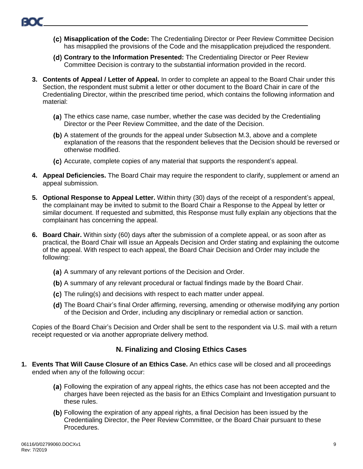- **Misapplication of the Code:** The Credentialing Director or Peer Review Committee Decision has misapplied the provisions of the Code and the misapplication prejudiced the respondent.
- **Contrary to the Information Presented:** The Credentialing Director or Peer Review Committee Decision is contrary to the substantial information provided in the record.
- **3. Contents of Appeal / Letter of Appeal.** In order to complete an appeal to the Board Chair under this Section, the respondent must submit a letter or other document to the Board Chair in care of the Credentialing Director, within the prescribed time period, which contains the following information and material:
	- (a) The ethics case name, case number, whether the case was decided by the Credentialing Director or the Peer Review Committee, and the date of the Decision.
	- A statement of the grounds for the appeal under Subsection M.3, above and a complete explanation of the reasons that the respondent believes that the Decision should be reversed or otherwise modified.
	- Accurate, complete copies of any material that supports the respondent's appeal.
- **4. Appeal Deficiencies.** The Board Chair may require the respondent to clarify, supplement or amend an appeal submission.
- **5. Optional Response to Appeal Letter.** Within thirty (30) days of the receipt of a respondent's appeal, the complainant may be invited to submit to the Board Chair a Response to the Appeal by letter or similar document. If requested and submitted, this Response must fully explain any objections that the complainant has concerning the appeal.
- **6. Board Chair.** Within sixty (60) days after the submission of a complete appeal, or as soon after as practical, the Board Chair will issue an Appeals Decision and Order stating and explaining the outcome of the appeal. With respect to each appeal, the Board Chair Decision and Order may include the following:
	- (a) A summary of any relevant portions of the Decision and Order.
	- (b) A summary of any relevant procedural or factual findings made by the Board Chair.
	- (c) The ruling(s) and decisions with respect to each matter under appeal.
	- (d) The Board Chair's final Order affirming, reversing, amending or otherwise modifying any portion of the Decision and Order, including any disciplinary or remedial action or sanction.

Copies of the Board Chair's Decision and Order shall be sent to the respondent via U.S. mail with a return receipt requested or via another appropriate delivery method.

#### **N. Finalizing and Closing Ethics Cases**

- <span id="page-10-0"></span>**1. Events That Will Cause Closure of an Ethics Case.** An ethics case will be closed and all proceedings ended when any of the following occur:
	- (a) Following the expiration of any appeal rights, the ethics case has not been accepted and the charges have been rejected as the basis for an Ethics Complaint and Investigation pursuant to these rules.
	- Following the expiration of any appeal rights, a final Decision has been issued by the Credentialing Director, the Peer Review Committee, or the Board Chair pursuant to these Procedures.